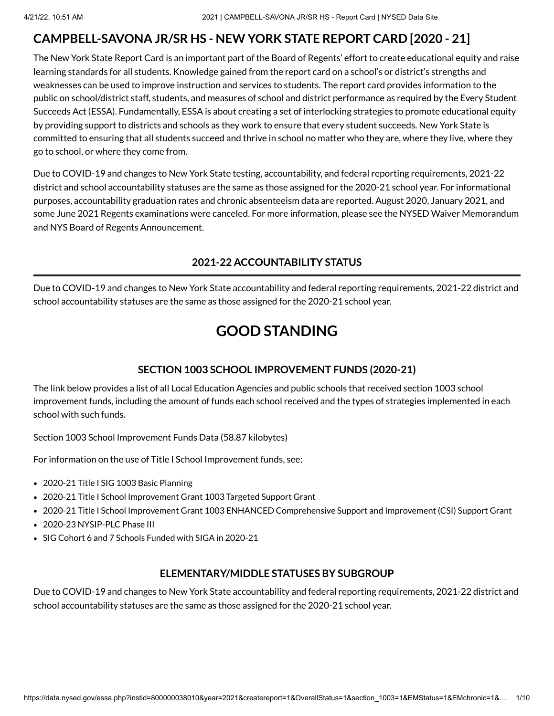# **CAMPBELL-SAVONA JR/SR HS - NEW YORK STATE REPORT CARD [2020 - 21]**

The New York State Report Card is an important part of the Board of Regents' effort to create educational equity and raise learning standards for all students. Knowledge gained from the report card on a school's or district's strengths and weaknesses can be used to improve instruction and services to students. The report card provides information to the public on school/district staff, students, and measures of school and district performance as required by the Every Student Succeeds Act (ESSA). Fundamentally, ESSA is about creating a set of interlocking strategies to promote educational equity by providing support to districts and schools as they work to ensure that every student succeeds. New York State is committed to ensuring that all students succeed and thrive in school no matter who they are, where they live, where they go to school, or where they come from.

Due to COVID-19 and changes to New York State testing, accountability, and federal reporting requirements, 2021-22 district and school accountability statuses are the same as those assigned for the 2020-21 school year. For informational purposes, accountability graduation rates and chronic absenteeism data are reported. August 2020, January 2021, and some June 2021 Regents examinations were canceled. For more information, please see the NYSED Waiver [Memorandum](http://www.nysed.gov/memo/accountability/united-states-department-education-usde-waiver-every-student-succeeds-act-essa) and NYS Board of Regents [Announcement.](http://www.nysed.gov/news/2021/board-regents-acts-emergency-regulation-revisions-2021-diploma-requirements)

# **2021-22 ACCOUNTABILITY STATUS**

Due to COVID-19 and changes to New York State accountability and federal reporting requirements, 2021-22 district and school accountability statuses are the same as those assigned for the 2020-21 school year.

# **GOOD STANDING**

# **SECTION 1003 SCHOOL IMPROVEMENT FUNDS (2020-21)**

The link below provides a list of all Local Education Agencies and public schools that received section 1003 school improvement funds, including the amount of funds each school received and the types of strategies implemented in each school with such funds.

Section 1003 School [Improvement](https://data.nysed.gov/files/essa/20-21/1003.xlsx) Funds Data (58.87 kilobytes)

For information on the use of Title I School Improvement funds, see:

- 2020-21 Title I SIG 1003 [Basic Planning](http://www.p12.nysed.gov/funding/currentapps.html#siga2020-21)
- 2020-21 Title I School Improvement Grant 1003 [Targeted Support](http://www.p12.nysed.gov/funding/currentapps.html#sig-targeted-2020-21) Grant
- 2020-21 Title I School Improvement Grant 1003 ENHANCED [Comprehensive](http://www.p12.nysed.gov/funding/currentapps.html#sig-csi-2020) Support and Improvement (CSI) Support Grant
- 2020-23 [NYSIP-PLC](http://www.p12.nysed.gov/funding/currentapps.html#nysip-plc-phase-3) Phase III
- SIG Cohort 6 and 7 Schools [Funded with](http://www.p12.nysed.gov/oisr/) SIGA in 2020-21

#### **ELEMENTARY/MIDDLE STATUSES BY SUBGROUP**

Due to COVID-19 and changes to New York State accountability and federal reporting requirements, 2021-22 district and school accountability statuses are the same as those assigned for the 2020-21 school year.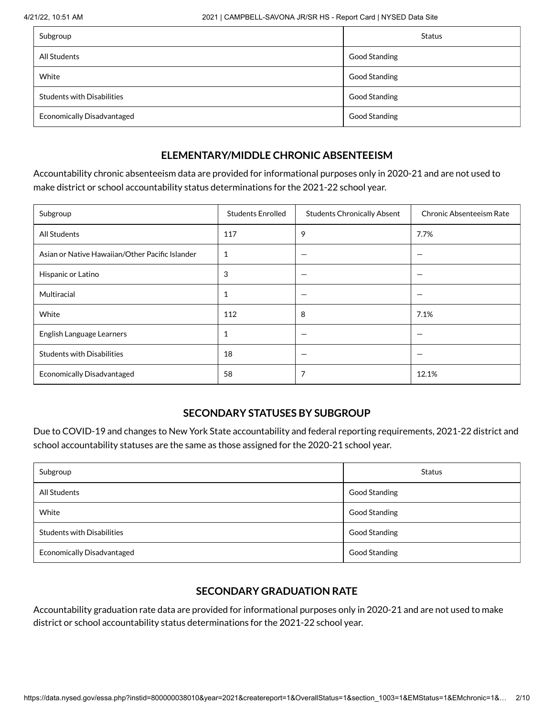| Subgroup                          | <b>Status</b>        |
|-----------------------------------|----------------------|
| All Students                      | Good Standing        |
| White                             | <b>Good Standing</b> |
| <b>Students with Disabilities</b> | Good Standing        |
| <b>Economically Disadvantaged</b> | Good Standing        |

#### **ELEMENTARY/MIDDLE CHRONIC ABSENTEEISM**

Accountability chronic absenteeism data are provided for informational purposes only in 2020-21 and are not used to make district or school accountability status determinations for the 2021-22 school year.

| Subgroup                                        | <b>Students Enrolled</b> | <b>Students Chronically Absent</b> | Chronic Absenteeism Rate |
|-------------------------------------------------|--------------------------|------------------------------------|--------------------------|
| All Students                                    | 117                      | 9                                  | 7.7%                     |
| Asian or Native Hawaiian/Other Pacific Islander | 1                        |                                    |                          |
| Hispanic or Latino                              | 3                        |                                    |                          |
| Multiracial                                     | 1                        |                                    |                          |
| White                                           | 112                      | 8                                  | 7.1%                     |
| English Language Learners                       | 1                        |                                    |                          |
| <b>Students with Disabilities</b>               | 18                       |                                    |                          |
| <b>Economically Disadvantaged</b>               | 58                       |                                    | 12.1%                    |

#### **SECONDARY STATUSES BY SUBGROUP**

Due to COVID-19 and changes to New York State accountability and federal reporting requirements, 2021-22 district and school accountability statuses are the same as those assigned for the 2020-21 school year.

| Subgroup                          | <b>Status</b>        |
|-----------------------------------|----------------------|
| All Students                      | <b>Good Standing</b> |
| White                             | <b>Good Standing</b> |
| <b>Students with Disabilities</b> | Good Standing        |
| <b>Economically Disadvantaged</b> | <b>Good Standing</b> |

# **SECONDARY GRADUATION RATE**

Accountability graduation rate data are provided for informational purposes only in 2020-21 and are not used to make district or school accountability status determinations for the 2021-22 school year.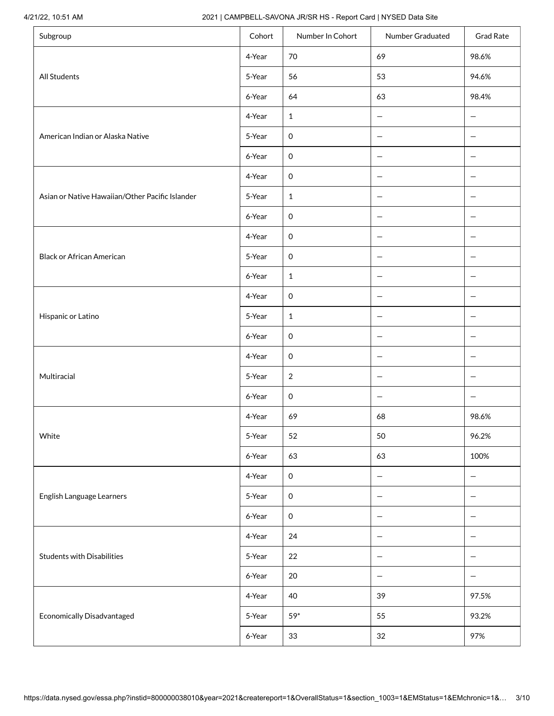#### 4/21/22, 10:51 AM 2021 | CAMPBELL-SAVONA JR/SR HS - Report Card | NYSED Data Site

| Subgroup                                        | Cohort | Number In Cohort    | Number Graduated         | <b>Grad Rate</b>         |
|-------------------------------------------------|--------|---------------------|--------------------------|--------------------------|
|                                                 | 4-Year | 70                  | 69                       | 98.6%                    |
| All Students                                    | 5-Year | 56                  | 53                       | 94.6%                    |
|                                                 | 6-Year | 64                  | 63                       | 98.4%                    |
|                                                 | 4-Year | $\mathbf{1}$        | $\overline{\phantom{0}}$ | $\qquad \qquad -$        |
| American Indian or Alaska Native                | 5-Year | $\mathsf{O}\xspace$ | $\qquad \qquad -$        | $\qquad \qquad -$        |
|                                                 | 6-Year | $\mathsf{O}\xspace$ | $\overline{\phantom{m}}$ | $\overline{\phantom{m}}$ |
|                                                 | 4-Year | $\mathsf{O}\xspace$ | $\qquad \qquad -$        | $\qquad \qquad -$        |
| Asian or Native Hawaiian/Other Pacific Islander | 5-Year | $\mathbf 1$         | $\qquad \qquad -$        | $\qquad \qquad -$        |
|                                                 | 6-Year | $\mathsf{O}\xspace$ | $\qquad \qquad -$        | $\qquad \qquad -$        |
|                                                 | 4-Year | $\mathbf 0$         | $\overline{\phantom{0}}$ | $\overline{\phantom{0}}$ |
| <b>Black or African American</b>                | 5-Year | $\mathsf{O}$        | $\overline{\phantom{0}}$ | $\qquad \qquad -$        |
|                                                 | 6-Year | $\mathbf{1}$        | $\overline{\phantom{m}}$ | $\overline{\phantom{m}}$ |
|                                                 | 4-Year | $\mathsf{O}\xspace$ | $\overline{\phantom{m}}$ | $\overline{\phantom{m}}$ |
| Hispanic or Latino                              | 5-Year | $\mathbf{1}$        | $\overline{\phantom{m}}$ | $\overline{\phantom{m}}$ |
|                                                 | 6-Year | $\mathsf{O}\xspace$ | $\qquad \qquad -$        | $\qquad \qquad -$        |
|                                                 | 4-Year | $\mathsf{O}\xspace$ | $\overline{\phantom{m}}$ | $\qquad \qquad -$        |
| Multiracial                                     | 5-Year | 2                   | —                        | $\qquad \qquad -$        |
|                                                 | 6-Year | $\mathsf{O}\xspace$ | $\overline{\phantom{m}}$ | —                        |
|                                                 | 4-Year | 69                  | 68                       | 98.6%                    |
| White                                           | 5-Year | 52                  | 50                       | 96.2%                    |
|                                                 | 6-Year | 63                  | 63                       | 100%                     |
|                                                 | 4-Year | $\mathsf{O}\xspace$ | $\overline{\phantom{m}}$ | $\qquad \qquad -$        |
| English Language Learners                       | 5-Year | $\mathsf{O}\xspace$ | $\overline{\phantom{0}}$ | $\qquad \qquad -$        |
|                                                 | 6-Year | $\mathsf{O}\xspace$ | $\overline{\phantom{0}}$ | $\qquad \qquad -$        |
|                                                 | 4-Year | 24                  | $\overline{\phantom{m}}$ | $\overline{\phantom{m}}$ |
| <b>Students with Disabilities</b>               | 5-Year | 22                  | $\overline{\phantom{0}}$ | $\qquad \qquad -$        |
|                                                 | 6-Year | 20                  | $\overline{\phantom{m}}$ | $\overline{\phantom{m}}$ |
|                                                 | 4-Year | 40                  | 39                       | 97.5%                    |
| Economically Disadvantaged                      | 5-Year | $59^*$              | 55                       | 93.2%                    |
|                                                 | 6-Year | 33                  | 32                       | 97%                      |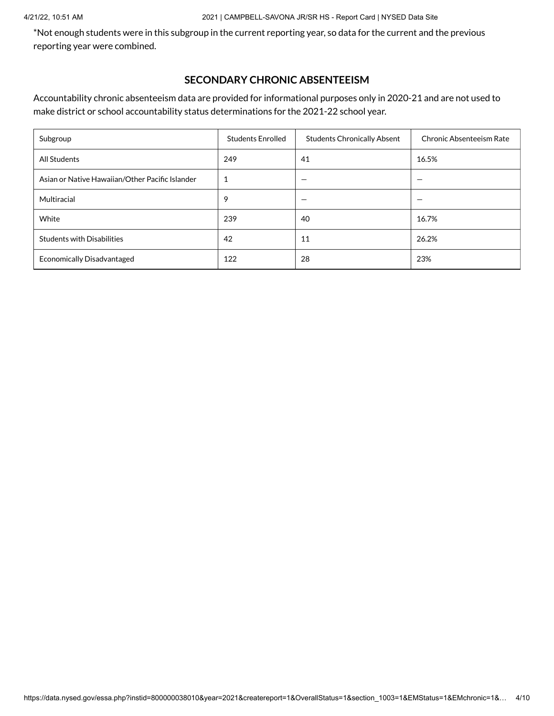#### 4/21/22, 10:51 AM 2021 | CAMPBELL-SAVONA JR/SR HS - Report Card | NYSED Data Site

\*Not enough students were in this subgroup in the current reporting year, so data for the current and the previous reporting year were combined.

#### **SECONDARY CHRONIC ABSENTEEISM**

Accountability chronic absenteeism data are provided for informational purposes only in 2020-21 and are not used to make district or school accountability status determinations for the 2021-22 school year.

| Subgroup                                        | <b>Students Enrolled</b> | <b>Students Chronically Absent</b> | <b>Chronic Absenteeism Rate</b> |
|-------------------------------------------------|--------------------------|------------------------------------|---------------------------------|
| All Students                                    | 249                      | 41                                 | 16.5%                           |
| Asian or Native Hawaiian/Other Pacific Islander |                          |                                    |                                 |
| Multiracial                                     | 9                        |                                    |                                 |
| White                                           | 239                      | 40                                 | 16.7%                           |
| <b>Students with Disabilities</b>               | 42                       | 11                                 | 26.2%                           |
| <b>Economically Disadvantaged</b>               | 122                      | 28                                 | 23%                             |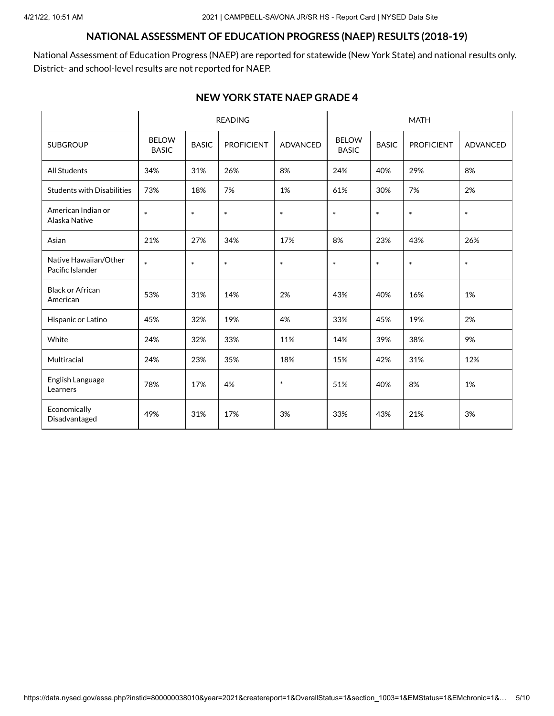### **NATIONAL ASSESSMENT OF EDUCATION PROGRESS (NAEP) RESULTS (2018-19)**

National Assessment of Education Progress (NAEP) are reported for statewide (New York State) and national results only. District- and school-level results are not reported for NAEP.

#### **NEW YORK STATE NAEP GRADE 4**

|                                           |                              |                            | <b>READING</b>                |        |                              |              | <b>MATH</b>       |                 |
|-------------------------------------------|------------------------------|----------------------------|-------------------------------|--------|------------------------------|--------------|-------------------|-----------------|
| <b>SUBGROUP</b>                           | <b>BELOW</b><br><b>BASIC</b> | <b>BASIC</b>               | <b>PROFICIENT</b><br>ADVANCED |        | <b>BELOW</b><br><b>BASIC</b> | <b>BASIC</b> | <b>PROFICIENT</b> | <b>ADVANCED</b> |
| <b>All Students</b>                       | 34%                          | 31%                        | 26%                           | 8%     | 24%                          | 40%          | 29%               | 8%              |
| <b>Students with Disabilities</b>         | 73%                          | 18%                        | 7%                            | 1%     | 61%                          | 30%          | 7%                | 2%              |
| American Indian or<br>Alaska Native       | $\ast$                       | $\ast$<br>$\ast$<br>$\ast$ |                               |        | $\ast$                       | $\ast$       | $\ast$            | $\ast$          |
| Asian                                     | 21%                          | 27%                        | 34%                           | 17%    | 8%                           | 23%          | 43%               | 26%             |
| Native Hawaiian/Other<br>Pacific Islander | $\ast$                       | $\ast$                     | $\ast$                        | $\ast$ | $\ast$                       |              | $\ast$            | $\ast$          |
| <b>Black or African</b><br>American       | 53%                          | 31%                        | 14%                           | 2%     | 43%                          | 40%          | 16%               | 1%              |
| Hispanic or Latino                        | 45%                          | 32%                        | 19%                           | 4%     | 33%                          | 45%          | 19%               | 2%              |
| White                                     | 24%                          | 32%                        | 33%                           | 11%    | 14%                          | 39%          | 38%               | 9%              |
| Multiracial                               | 24%                          | 23%                        | 35%                           | 18%    | 15%                          | 42%          | 31%               | 12%             |
| English Language<br>Learners              | 78%                          | 17%                        | 4%                            | $\ast$ | 51%                          | 40%          | 8%                | 1%              |
| Economically<br>Disadvantaged             | 49%                          | 31%                        | 17%                           | 3%     | 33%                          | 43%          | 21%               | 3%              |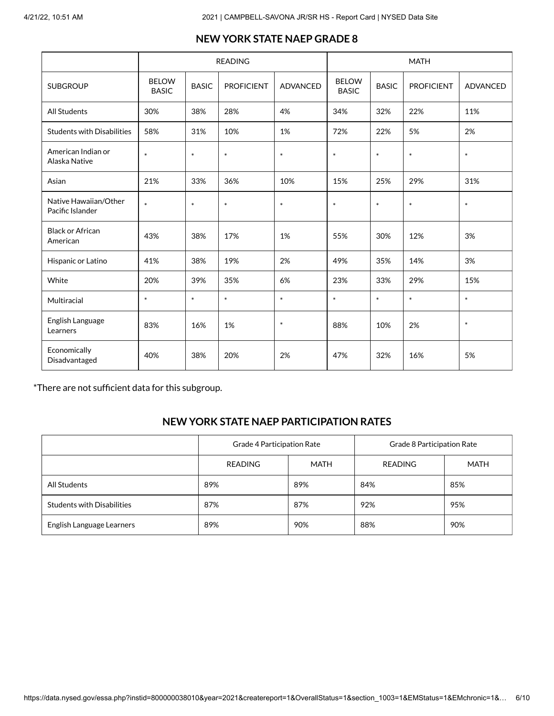#### **NEW YORK STATE NAEP GRADE 8**

|                                           |                              |                            | <b>READING</b>    |                 | <b>MATH</b>      |                                              |        |                 |  |
|-------------------------------------------|------------------------------|----------------------------|-------------------|-----------------|------------------|----------------------------------------------|--------|-----------------|--|
| <b>SUBGROUP</b>                           | <b>BELOW</b><br><b>BASIC</b> | <b>BASIC</b>               | <b>PROFICIENT</b> | <b>ADVANCED</b> |                  | <b>BELOW</b><br><b>BASIC</b><br><b>BASIC</b> |        | <b>ADVANCED</b> |  |
| <b>All Students</b>                       | 30%                          | 38%                        | 28%               | 4%              | 34%              | 32%                                          | 22%    | 11%             |  |
| <b>Students with Disabilities</b>         | 58%                          | 31%                        | 10%               | 1%              | 72%              | 22%                                          | 5%     | 2%              |  |
| American Indian or<br>Alaska Native       | $\ast$                       | $\ast$<br>$\ast$<br>$\ast$ |                   |                 | $\ast$<br>$\ast$ |                                              | $\ast$ | $\ast$          |  |
| Asian                                     | 21%                          | 33%                        | 36%               | 10%             | 15%              | 25%                                          | 29%    | 31%             |  |
| Native Hawaiian/Other<br>Pacific Islander | $\ast$                       | $\ast$                     | $\ast$            | $\ast$          | $\ast$           | $\ast$                                       | $\ast$ | $\ast$          |  |
| <b>Black or African</b><br>American       | 43%                          | 38%                        | 17%               | 1%              | 55%              | 30%                                          | 12%    | 3%              |  |
| Hispanic or Latino                        | 41%                          | 38%                        | 19%               | 2%              | 49%              | 35%                                          | 14%    | 3%              |  |
| White                                     | 20%                          | 39%                        | 35%               | 6%              | 23%              | 33%                                          | 29%    | 15%             |  |
| Multiracial                               | $\ast$                       | $\ast$                     | $\ast$            | $\ast$          | $\ast$           | $\ast$                                       | $\ast$ | $\ast$          |  |
| English Language<br>Learners              | 83%                          | 16%                        | 1%                | $\ast$          | 88%              | 10%                                          | 2%     | $\ast$          |  |
| Economically<br>Disadvantaged             | 40%                          | 38%                        | 20%               | 2%              | 47%              | 32%                                          | 16%    | 5%              |  |

\*There are not sufficient data for this subgroup.

### **NEW YORK STATE NAEP PARTICIPATION RATES**

|                                   | Grade 4 Participation Rate |      | Grade 8 Participation Rate |             |  |  |
|-----------------------------------|----------------------------|------|----------------------------|-------------|--|--|
|                                   | READING                    | MATH | <b>READING</b>             | <b>MATH</b> |  |  |
| All Students                      | 89%                        | 89%  | 84%                        | 85%         |  |  |
| <b>Students with Disabilities</b> | 87%                        | 87%  | 92%                        | 95%         |  |  |
| English Language Learners         | 89%                        | 90%  | 88%                        | 90%         |  |  |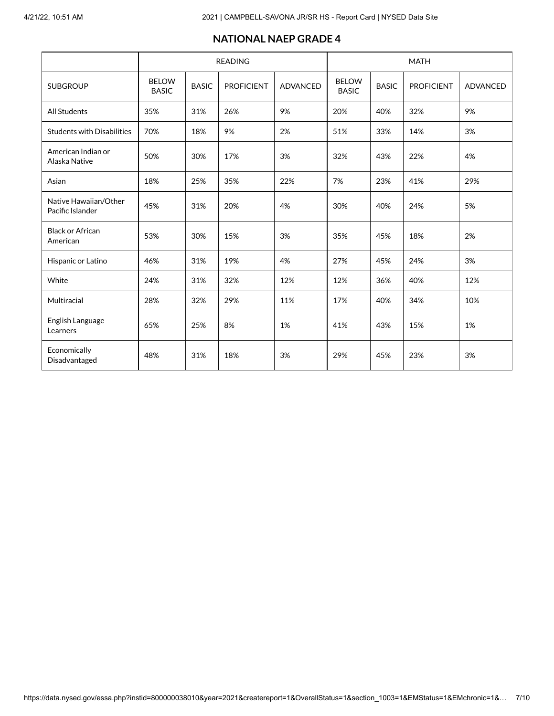#### **NATIONAL NAEP GRADE 4**

|                                           |                              |                  | <b>READING</b>    |                 | <b>MATH</b>                  |              |                   |                 |  |
|-------------------------------------------|------------------------------|------------------|-------------------|-----------------|------------------------------|--------------|-------------------|-----------------|--|
| <b>SUBGROUP</b>                           | <b>BELOW</b><br><b>BASIC</b> | <b>BASIC</b>     | <b>PROFICIENT</b> | <b>ADVANCED</b> | <b>BELOW</b><br><b>BASIC</b> | <b>BASIC</b> | <b>PROFICIENT</b> | <b>ADVANCED</b> |  |
| <b>All Students</b>                       | 35%                          | 31%              | 26%               | 9%              | 20%                          | 40%          | 32%               | 9%              |  |
| <b>Students with Disabilities</b>         | 70%                          | 18%              | 9%                | 2%              | 51%                          | 33%          | 14%               | 3%              |  |
| American Indian or<br>Alaska Native       | 50%                          | 30%<br>17%<br>3% |                   |                 | 32%<br>43%                   |              | 22%               | 4%              |  |
| Asian                                     | 18%                          | 25%              | 35%               | 22%             | 7%                           | 23%          | 41%               | 29%             |  |
| Native Hawaiian/Other<br>Pacific Islander | 45%                          | 31%              | 20%               | 30%<br>4%       |                              | 40%          | 24%               | 5%              |  |
| <b>Black or African</b><br>American       | 53%                          | 3%<br>30%<br>15% |                   |                 | 35%                          | 45%          | 18%               | 2%              |  |
| Hispanic or Latino                        | 46%                          | 31%              | 19%               | 4%              | 27%                          | 45%          | 24%               | 3%              |  |
| White                                     | 24%                          | 31%              | 32%               | 12%             | 12%                          | 36%          | 40%               | 12%             |  |
| Multiracial                               | 28%                          | 32%              | 29%               | 11%             | 17%                          | 40%          | 34%               | 10%             |  |
| English Language<br>Learners              | 65%                          | 25%              | 8%                | 1%              | 41%                          | 43%          | 15%               | 1%              |  |
| Economically<br>Disadvantaged             | 48%                          | 31%              | 18%               | 3%              | 29%                          | 45%          | 23%               | 3%              |  |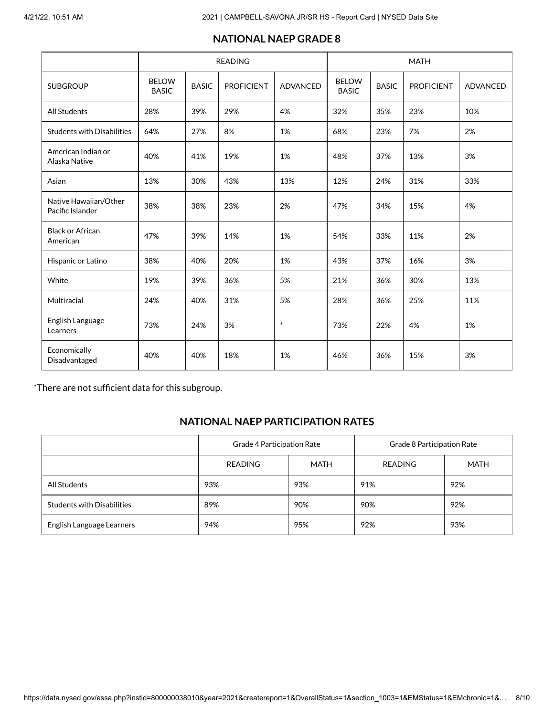#### **NATIONAL NAEP GRADE 8**

|                                           |                              |                  | <b>READING</b>    |                 | <b>MATH</b> |              |                   |          |  |
|-------------------------------------------|------------------------------|------------------|-------------------|-----------------|-------------|--------------|-------------------|----------|--|
| <b>SUBGROUP</b>                           | <b>BELOW</b><br><b>BASIC</b> | <b>BASIC</b>     | <b>PROFICIENT</b> | <b>ADVANCED</b> |             | <b>BASIC</b> | <b>PROFICIENT</b> | ADVANCED |  |
| <b>All Students</b>                       | 28%                          | 39%              | 29%               | 4%              | 32%         | 35%          | 23%               | 10%      |  |
| <b>Students with Disabilities</b>         | 64%                          | 27%              | 8%                | 1%              | 68%         | 23%          | 7%                | 2%       |  |
| American Indian or<br>Alaska Native       | 40%                          | 41%<br>19%<br>1% |                   |                 | 48%<br>37%  |              | 13%               | 3%       |  |
| Asian                                     | 13%                          | 30%              | 43%               | 13%             | 12%         | 24%          | 31%               | 33%      |  |
| Native Hawaiian/Other<br>Pacific Islander | 38%                          | 38%              | 23%               | 2%              | 47%         | 34%          | 15%               | 4%       |  |
| <b>Black or African</b><br>American       | 47%                          | 39%              | 14%               | 1%              | 54%         | 33%          | 11%               | 2%       |  |
| Hispanic or Latino                        | 38%                          | 40%              | 20%               | 1%              | 43%         | 37%          | 16%               | 3%       |  |
| White                                     | 19%                          | 39%              | 36%               | 5%              | 21%         | 36%          | 30%               | 13%      |  |
| Multiracial                               | 24%                          | 40%              | 31%               | 5%              | 28%         | 36%          | 25%               | 11%      |  |
| English Language<br>Learners              | 73%                          | 24%              | 3%                | $\ast$          | 73%         | 22%          | 4%                | 1%       |  |
| Economically<br>Disadvantaged             | 40%                          | 40%              | 18%               | 1%              | 46%         | 36%          | 15%               | 3%       |  |

\*There are not sufficient data for this subgroup.

### **NATIONAL NAEP PARTICIPATION RATES**

|                                   | Grade 4 Participation Rate |      | Grade 8 Participation Rate |             |  |  |
|-----------------------------------|----------------------------|------|----------------------------|-------------|--|--|
|                                   | READING                    | MATH | <b>READING</b>             | <b>MATH</b> |  |  |
| All Students                      | 93%                        | 93%  | 91%                        | 92%         |  |  |
| <b>Students with Disabilities</b> | 89%                        | 90%  | 90%                        | 92%         |  |  |
| English Language Learners         | 94%                        | 95%  | 92%                        | 93%         |  |  |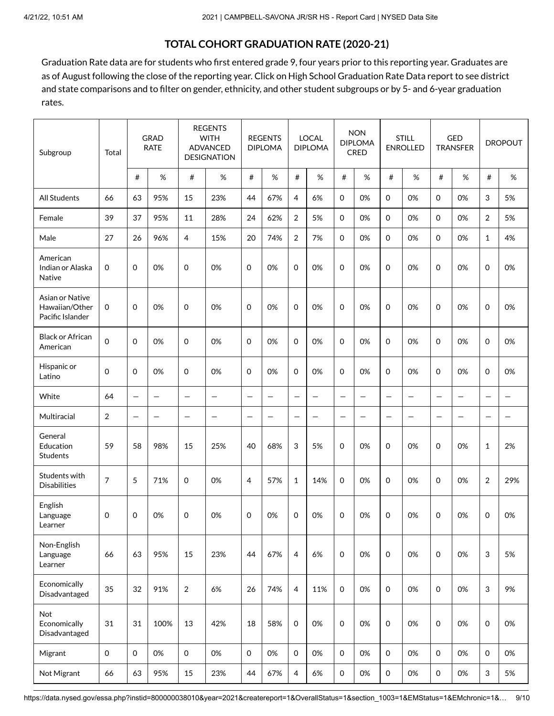# **TOTAL COHORT GRADUATION RATE (2020-21)**

Graduation Rate data are for students who first entered grade 9, four years prior to this reporting year. Graduates are as of August following the close of the reporting year. Click on High School [Graduation](https://data.nysed.gov/gradrate.php?instid=800000038010&year=2021&cohortgroup=0) Rate Data report to see district and state comparisons and to filter on gender, ethnicity, and other student subgroups or by 5- and 6-year graduation rates.

| Subgroup                                              | Total               |                          | <b>GRAD</b><br><b>RATE</b> |                   | <b>REGENTS</b><br><b>WITH</b><br><b>ADVANCED</b><br><b>DESIGNATION</b> |                          | <b>REGENTS</b><br><b>DIPLOMA</b> |                          | <b>LOCAL</b><br><b>DIPLOMA</b> |             | <b>NON</b><br><b>DIPLOMA</b><br><b>CRED</b> |                          | <b>STILL</b><br><b>ENROLLED</b> |                   | GED<br><b>TRANSFER</b>   |                   | <b>DROPOUT</b> |
|-------------------------------------------------------|---------------------|--------------------------|----------------------------|-------------------|------------------------------------------------------------------------|--------------------------|----------------------------------|--------------------------|--------------------------------|-------------|---------------------------------------------|--------------------------|---------------------------------|-------------------|--------------------------|-------------------|----------------|
|                                                       |                     | #                        | %                          | #                 | $\%$                                                                   | #                        | $\%$                             | $\#$                     | $\%$                           | $\#$        | $\%$                                        | #                        | %                               | #                 | $\%$                     | #                 | $\%$           |
| All Students                                          | 66                  | 63                       | 95%                        | 15                | 23%                                                                    | 44                       | 67%                              | $\overline{4}$           | 6%                             | $\mathbf 0$ | 0%                                          | $\mathbf 0$              | 0%                              | $\mathbf 0$       | 0%                       | 3                 | 5%             |
| Female                                                | 39                  | 37                       | 95%                        | 11                | 28%                                                                    | 24                       | 62%                              | 2                        | 5%                             | $\mathbf 0$ | 0%                                          | 0                        | 0%                              | $\mathbf 0$       | 0%                       | 2                 | 5%             |
| Male                                                  | 27                  | 26                       | 96%                        | $\overline{4}$    | 15%                                                                    | 20                       | 74%                              | 2                        | 7%                             | $\mathbf 0$ | 0%                                          | $\Omega$                 | 0%                              | $\Omega$          | 0%                       | $\mathbf{1}$      | 4%             |
| American<br>Indian or Alaska<br>Native                | 0                   | 0                        | 0%                         | 0                 | 0%                                                                     | 0                        | 0%                               | $\Omega$                 | 0%                             | $\mathbf 0$ | 0%                                          | $\mathbf 0$              | 0%                              | 0                 | 0%                       | $\mathbf 0$       | 0%             |
| Asian or Native<br>Hawaiian/Other<br>Pacific Islander | 0                   | 0                        | 0%                         | 0                 | 0%                                                                     | 0                        | 0%                               | 0                        | 0%                             | $\mathbf 0$ | 0%                                          | 0                        | 0%                              | 0                 | 0%                       | $\mathbf 0$       | 0%             |
| <b>Black or African</b><br>American                   | $\mathsf{O}\xspace$ | $\Omega$                 | 0%                         | $\mathbf 0$       | 0%                                                                     | $\mathbf 0$              | 0%                               | $\Omega$                 | 0%                             | $\mathbf 0$ | 0%                                          | $\Omega$                 | 0%                              | $\Omega$          | 0%                       | 0                 | 0%             |
| Hispanic or<br>Latino                                 | 0                   | $\Omega$                 | 0%                         | $\mathbf 0$       | 0%                                                                     | $\mathbf 0$              | 0%                               | $\Omega$                 | 0%                             | $\mathbf 0$ | 0%                                          | $\Omega$                 | 0%                              | 0                 | 0%                       | $\mathbf 0$       | 0%             |
| White                                                 | 64                  | $\qquad \qquad -$        | $\qquad \qquad -$          | $\qquad \qquad -$ | $\qquad \qquad -$                                                      | $\overline{\phantom{m}}$ |                                  | $\overline{\phantom{0}}$ |                                |             | -                                           | $\overline{\phantom{m}}$ | —                               | $\qquad \qquad -$ | $\qquad \qquad -$        | $\qquad \qquad -$ |                |
| Multiracial                                           | $\overline{2}$      | $\overline{\phantom{0}}$ |                            | $\qquad \qquad -$ | $\overline{\phantom{0}}$                                               | $\overline{\phantom{m}}$ | $\overline{\phantom{0}}$         |                          |                                |             | $\overline{\phantom{0}}$                    | $\overline{\phantom{0}}$ | $\overline{\phantom{0}}$        |                   | $\overline{\phantom{0}}$ |                   | —              |
| General<br>Education<br>Students                      | 59                  | 58                       | 98%                        | 15                | 25%                                                                    | 40                       | 68%                              | 3                        | 5%                             | $\mathbf 0$ | 0%                                          | $\Omega$                 | 0%                              | 0                 | 0%                       | $\mathbf{1}$      | 2%             |
| Students with<br><b>Disabilities</b>                  | 7                   | 5                        | 71%                        | 0                 | 0%                                                                     | $\overline{4}$           | 57%                              | 1                        | 14%                            | $\mathbf 0$ | 0%                                          | 0                        | 0%                              | 0                 | 0%                       | 2                 | 29%            |
| English<br>Language<br>Learner                        | 0                   | 0                        | 0%                         | 0                 | 0%                                                                     | 0                        | 0%                               | 0                        | 0%                             | $\mathbf 0$ | 0%                                          | 0                        | 0%                              | 0                 | 0%                       | 0                 | 0%             |
| Non-English<br>Language<br>Learner                    | 66                  | 63                       | 95%                        | 15                | 23%                                                                    | 44                       | 67%                              | $\overline{4}$           | 6%                             | $\mathbf 0$ | 0%                                          | $\Omega$                 | 0%                              | $\mathbf 0$       | 0%                       | 3                 | 5%             |
| Economically<br>Disadvantaged                         | 35                  | 32                       | 91%                        | $\overline{2}$    | 6%                                                                     | 26                       | 74%                              | $\overline{4}$           | 11%                            | $\mathbf 0$ | 0%                                          | $\mathsf{O}\xspace$      | 0%                              | $\mathbf 0$       | 0%                       | $\sqrt{3}$        | 9%             |
| Not<br>Economically<br>Disadvantaged                  | 31                  | 31                       | 100%                       | 13                | 42%                                                                    | 18                       | 58%                              | $\mathbf 0$              | 0%                             | $\mathbf 0$ | 0%                                          | $\mathbf 0$              | 0%                              | $\mathbf 0$       | 0%                       | $\mathbf 0$       | 0%             |
| Migrant                                               | $\mathbf 0$         | $\mathbf 0$              | 0%                         | $\mathbf 0$       | 0%                                                                     | $\mathsf{O}\xspace$      | 0%                               | $\mathbf 0$              | 0%                             | $\mathbf 0$ | 0%                                          | $\mathbf 0$              | 0%                              | $\mathbf 0$       | 0%                       | $\mathbf 0$       | 0%             |
| Not Migrant                                           | 66                  | 63                       | 95%                        | 15                | 23%                                                                    | 44                       | 67%                              | 4                        | 6%                             | $\mathbf 0$ | 0%                                          | $\mathbf 0$              | 0%                              | $\mathbf 0$       | 0%                       | 3                 | 5%             |